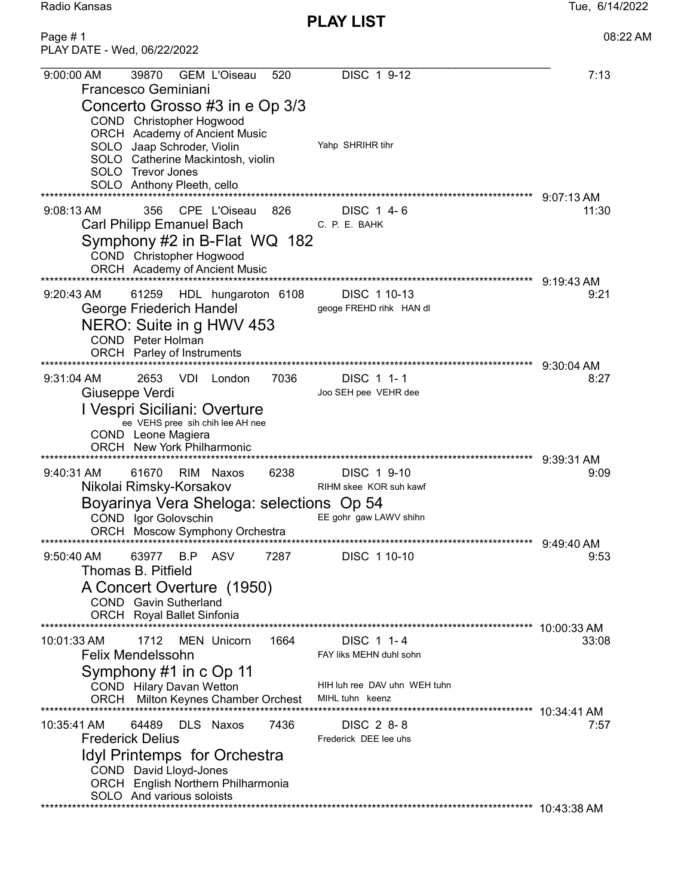| Radio Kansas |
|--------------|
|--------------|

PLAY LIST Page # 1 08:22 AM

| PLAY DATE - Wed, 06/22/2022                                                                                                                                                                                                                       |                                                                                          |                                     |
|---------------------------------------------------------------------------------------------------------------------------------------------------------------------------------------------------------------------------------------------------|------------------------------------------------------------------------------------------|-------------------------------------|
| <b>GEM L'Oiseau</b><br>9:00:00 AM<br>39870<br>520<br>Francesco Geminiani<br>Concerto Grosso #3 in e Op 3/3<br>COND Christopher Hogwood<br><b>ORCH</b> Academy of Ancient Music<br>SOLO Jaap Schroder, Violin<br>SOLO Catherine Mackintosh, violin | DISC 1 9-12<br>Yahp SHRIHR tihr                                                          | 7:13                                |
| SOLO Trevor Jones<br>SOLO Anthony Pleeth, cello                                                                                                                                                                                                   |                                                                                          |                                     |
| CPE L'Oiseau<br>826<br>356<br>$9:08:13$ AM<br><b>Carl Philipp Emanuel Bach</b><br>Symphony #2 in B-Flat WQ 182<br>COND Christopher Hogwood<br>ORCH Academy of Ancient Music                                                                       | DISC 1 4-6<br>C. P. E. BAHK                                                              | $9:07:13$ AM<br>11:30               |
| 9:20:43 AM<br>61259<br>HDL hungaroton 6108<br>George Friederich Handel<br>NERO: Suite in g HWV 453<br>COND Peter Holman<br>ORCH Parley of Instruments                                                                                             | DISC 1 10-13<br>geoge FREHD rihk HAN dl                                                  | 9:19:43 AM<br>9:21<br>$9:30:04$ AM  |
| $9:31:04$ AM<br>2653<br>VDI.<br>7036<br>London<br>Giuseppe Verdi<br>I Vespri Siciliani: Overture<br>ee VEHS pree sih chih lee AH nee<br>COND Leone Magiera<br><b>ORCH</b> New York Philharmonic                                                   | DISC 1 1-1<br>Joo SEH pee VEHR dee                                                       | 8:27                                |
| 61670<br>9:40:31 AM<br>RIM Naxos<br>6238<br>Nikolai Rimsky-Korsakov<br>Boyarinya Vera Sheloga: selections Op 54<br>COND Igor Golovschin<br>Moscow Symphony Orchestra<br>**************************                                                | DISC 1 9-10<br>RIHM skee KOR suh kawf<br>EE gohr gaw LAWV shihn                          | 9:39:31 AM<br>9:09                  |
| 9:50:40 AM<br>63977 B.P ASV<br>7287<br>Thomas B. Pitfield<br>A Concert Overture (1950)<br>COND Gavin Sutherland<br>ORCH Royal Ballet Sinfonia                                                                                                     | DISC 1 10-10                                                                             | $9:49:40$ AM<br>9:53<br>10:00:33 AM |
| 1712<br>MEN Unicorn<br>1664<br>10:01:33 AM<br><b>Felix Mendelssohn</b><br>Symphony #1 in c Op 11<br>COND Hilary Davan Wetton<br>ORCH Milton Keynes Chamber Orchest                                                                                | DISC 1 1-4<br>FAY liks MEHN duhl sohn<br>HIH luh ree DAV uhn WEH tuhn<br>MIHL tuhn keenz | 33:08                               |
| **********************<br>DLS Naxos<br>10:35:41 AM<br>64489<br>7436<br><b>Frederick Delius</b><br>Idyl Printemps for Orchestra<br>COND David Lloyd-Jones<br>ORCH English Northern Philharmonia<br>SOLO And various soloists                       | DISC 2 8-8<br>Frederick DEE lee uhs                                                      | 7:57                                |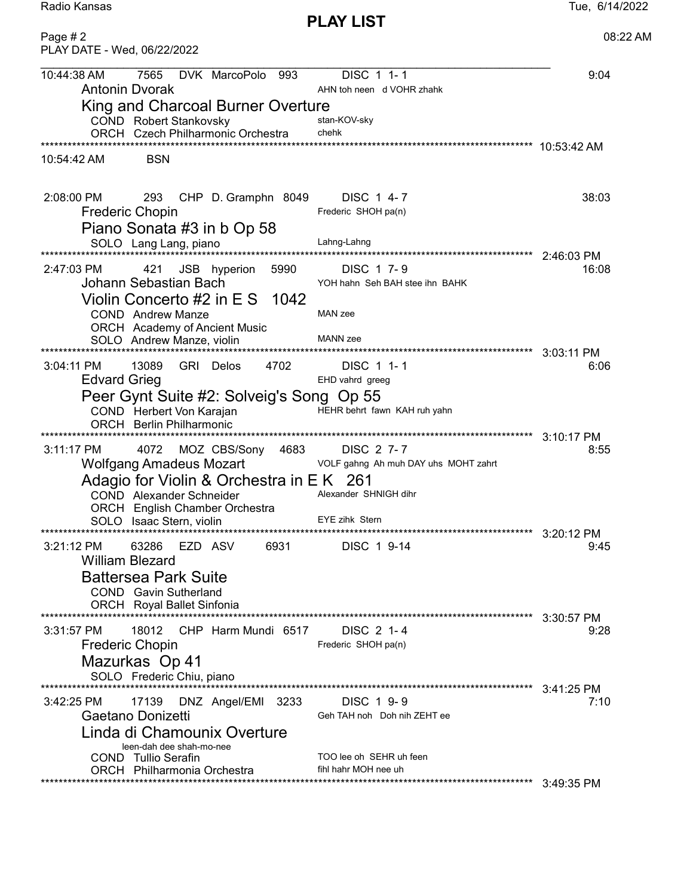PLAY LIST Page # 2 08:22 AM

| PLAY DATE - Wed, 06/22/2022                                                                                                                                                                                                                                   |                    |
|---------------------------------------------------------------------------------------------------------------------------------------------------------------------------------------------------------------------------------------------------------------|--------------------|
| 7565<br>DVK MarcoPolo 993<br>DISC 1 1-1<br>10:44:38 AM<br><b>Antonin Dvorak</b><br>AHN toh neen d VOHR zhahk                                                                                                                                                  | 9:04               |
| King and Charcoal Burner Overture<br>COND Robert Stankovsky<br>stan-KOV-sky<br>chehk<br>ORCH Czech Philharmonic Orchestra                                                                                                                                     |                    |
| <b>BSN</b><br>10:54:42 AM                                                                                                                                                                                                                                     |                    |
| 2:08:00 PM<br>293<br>CHP D. Gramphn 8049<br>DISC 1 4-7<br><b>Frederic Chopin</b><br>Frederic SHOH pa(n)<br>Piano Sonata #3 in b Op 58                                                                                                                         | 38:03              |
| SOLO Lang Lang, piano<br>Lahng-Lahng<br>**********************                                                                                                                                                                                                | 2:46:03 PM         |
| 2:47:03 PM<br>DISC 1 7-9<br>421<br>JSB hyperion<br>5990<br>Johann Sebastian Bach<br>YOH hahn Seh BAH stee ihn BAHK<br>Violin Concerto #2 in E S 1042                                                                                                          | 16:08              |
| MAN zee<br><b>COND</b> Andrew Manze<br>ORCH Academy of Ancient Music                                                                                                                                                                                          |                    |
| <b>MANN</b> zee<br>SOLO Andrew Manze, violin                                                                                                                                                                                                                  | 3:03:11 PM         |
| 13089<br>DISC 1 1-1<br>$3:04:11$ PM<br>GRI Delos<br>4702<br><b>Edvard Grieg</b><br>EHD vahrd greeg                                                                                                                                                            | 6:06               |
| Peer Gynt Suite #2: Solveig's Song Op 55<br>HEHR behrt fawn KAH ruh yahn<br>COND Herbert Von Karajan<br>ORCH Berlin Philharmonic                                                                                                                              |                    |
| $3:11:17$ PM<br>4072<br>MOZ CBS/Sony 4683<br>DISC 2 7-7                                                                                                                                                                                                       | 3:10:17 PM<br>8:55 |
| <b>Wolfgang Amadeus Mozart</b><br>VOLF gahng Ah muh DAY uhs MOHT zahrt<br>Adagio for Violin & Orchestra in EK 261<br>Alexander SHNIGH dihr<br>COND Alexander Schneider<br>ORCH English Chamber Orchestra<br><b>EYE zihk Stern</b><br>SOLO Isaac Stern, violin |                    |
| EZD ASV<br>63286<br>6931<br>DISC 1 9-14<br>$3:21:12 \text{ PM}$                                                                                                                                                                                               | 3:20:12 PM<br>9:45 |
| <b>William Blezard</b><br><b>Battersea Park Suite</b><br><b>COND</b> Gavin Sutherland<br>ORCH Royal Ballet Sinfonia                                                                                                                                           |                    |
| CHP Harm Mundi 6517<br>18012<br>DISC 2 1-4<br>$3:31:57$ PM                                                                                                                                                                                                    | 3:30:57 PM<br>9:28 |
| <b>Frederic Chopin</b><br>Frederic SHOH pa(n)<br>Mazurkas Op 41<br>SOLO Frederic Chiu, piano                                                                                                                                                                  |                    |
| 17139<br>DNZ Angel/EMI<br>DISC 1 9-9<br>$3:42:25$ PM<br>3233<br>Gaetano Donizetti<br>Geh TAH noh Doh nih ZEHT ee<br>Linda di Chamounix Overture                                                                                                               | 3:41:25 PM<br>7:10 |
| leen-dah dee shah-mo-nee<br>TOO lee oh SEHR uh feen<br>COND Tullio Serafin<br>fihl hahr MOH nee uh<br>ORCH Philharmonia Orchestra                                                                                                                             | 3:49:35 PM         |